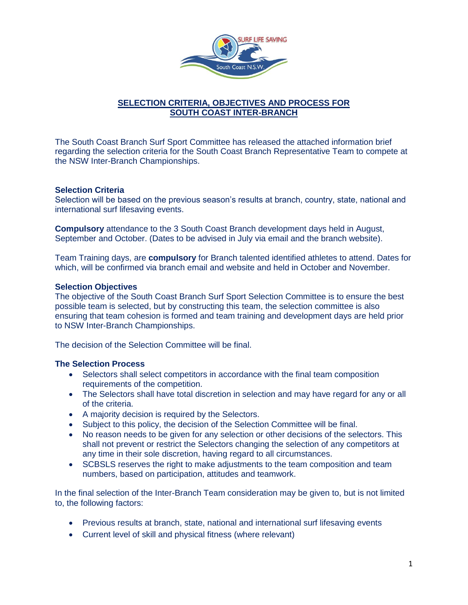

# **SELECTION CRITERIA, OBJECTIVES AND PROCESS FOR SOUTH COAST INTER-BRANCH**

The South Coast Branch Surf Sport Committee has released the attached information brief regarding the selection criteria for the South Coast Branch Representative Team to compete at the NSW Inter-Branch Championships.

## **Selection Criteria**

Selection will be based on the previous season's results at branch, country, state, national and international surf lifesaving events.

**Compulsory** attendance to the 3 South Coast Branch development days held in August, September and October. (Dates to be advised in July via email and the branch website).

Team Training days, are **compulsory** for Branch talented identified athletes to attend. Dates for which, will be confirmed via branch email and website and held in October and November.

## **Selection Objectives**

The objective of the South Coast Branch Surf Sport Selection Committee is to ensure the best possible team is selected, but by constructing this team, the selection committee is also ensuring that team cohesion is formed and team training and development days are held prior to NSW Inter-Branch Championships.

The decision of the Selection Committee will be final.

## **The Selection Process**

- Selectors shall select competitors in accordance with the final team composition requirements of the competition.
- The Selectors shall have total discretion in selection and may have regard for any or all of the criteria.
- A majority decision is required by the Selectors.
- Subject to this policy, the decision of the Selection Committee will be final.
- No reason needs to be given for any selection or other decisions of the selectors. This shall not prevent or restrict the Selectors changing the selection of any competitors at any time in their sole discretion, having regard to all circumstances.
- SCBSLS reserves the right to make adjustments to the team composition and team numbers, based on participation, attitudes and teamwork.

In the final selection of the Inter-Branch Team consideration may be given to, but is not limited to, the following factors:

- Previous results at branch, state, national and international surf lifesaving events
- Current level of skill and physical fitness (where relevant)